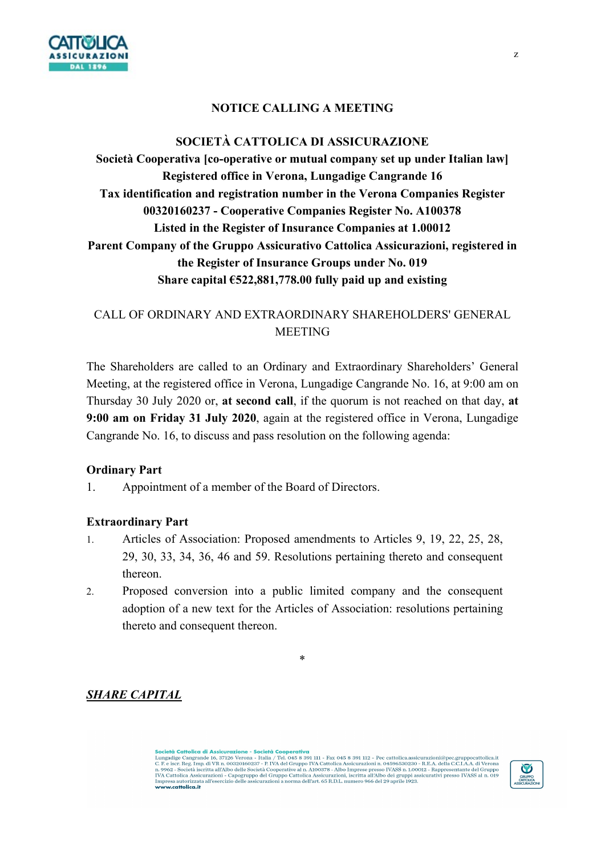

### NOTICE CALLING A MEETING

# SOCIETÀ CATTOLICA DI ASSICURAZIONE

Società Cooperativa [co-operative or mutual company set up under Italian law] Registered office in Verona, Lungadige Cangrande 16 Tax identification and registration number in the Verona Companies Register 00320160237 - Cooperative Companies Register No. A100378 Listed in the Register of Insurance Companies at 1.00012 Parent Company of the Gruppo Assicurativo Cattolica Assicurazioni, registered in the Register of Insurance Groups under No. 019 Share capital  $6522,881,778.00$  fully paid up and existing

## CALL OF ORDINARY AND EXTRAORDINARY SHAREHOLDERS' GENERAL **MEETING**

The Shareholders are called to an Ordinary and Extraordinary Shareholders' General Meeting, at the registered office in Verona, Lungadige Cangrande No. 16, at 9:00 am on Thursday 30 July 2020 or, at second call, if the quorum is not reached on that day, at 9:00 am on Friday 31 July 2020, again at the registered office in Verona, Lungadige Cangrande No. 16, to discuss and pass resolution on the following agenda:

#### Ordinary Part

1. Appointment of a member of the Board of Directors.

#### Extraordinary Part

- 1. Articles of Association: Proposed amendments to Articles 9, 19, 22, 25, 28, 29, 30, 33, 34, 36, 46 and 59. Resolutions pertaining thereto and consequent thereon.
- 2. Proposed conversion into a public limited company and the consequent adoption of a new text for the Articles of Association: resolutions pertaining thereto and consequent thereon.

\*

SHARE CAPITAL

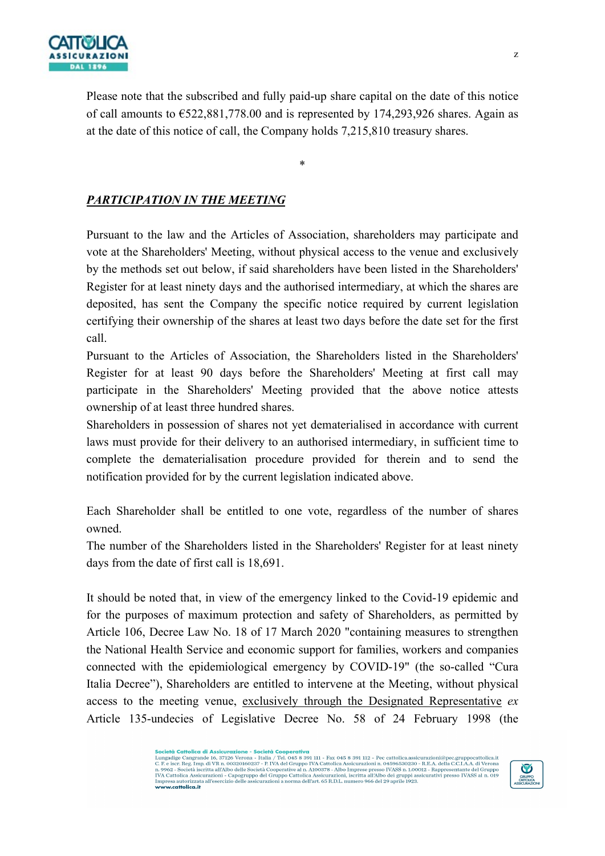

Please note that the subscribed and fully paid-up share capital on the date of this notice of call amounts to  $\text{\textsterling}522,881,778.00$  and is represented by 174,293,926 shares. Again as at the date of this notice of call, the Company holds 7,215,810 treasury shares.

\*

## PARTICIPATION IN THE MEETING

Pursuant to the law and the Articles of Association, shareholders may participate and vote at the Shareholders' Meeting, without physical access to the venue and exclusively by the methods set out below, if said shareholders have been listed in the Shareholders' Register for at least ninety days and the authorised intermediary, at which the shares are deposited, has sent the Company the specific notice required by current legislation certifying their ownership of the shares at least two days before the date set for the first call.

Pursuant to the Articles of Association, the Shareholders listed in the Shareholders' Register for at least 90 days before the Shareholders' Meeting at first call may participate in the Shareholders' Meeting provided that the above notice attests ownership of at least three hundred shares.

Shareholders in possession of shares not yet dematerialised in accordance with current laws must provide for their delivery to an authorised intermediary, in sufficient time to complete the dematerialisation procedure provided for therein and to send the notification provided for by the current legislation indicated above.

Each Shareholder shall be entitled to one vote, regardless of the number of shares owned.

The number of the Shareholders listed in the Shareholders' Register for at least ninety days from the date of first call is 18,691.

It should be noted that, in view of the emergency linked to the Covid-19 epidemic and for the purposes of maximum protection and safety of Shareholders, as permitted by Article 106, Decree Law No. 18 of 17 March 2020 "containing measures to strengthen the National Health Service and economic support for families, workers and companies connected with the epidemiological emergency by COVID-19" (the so-called "Cura Italia Decree"), Shareholders are entitled to intervene at the Meeting, without physical access to the meeting venue, exclusively through the Designated Representative ex Article 135-undecies of Legislative Decree No. 58 of 24 February 1998 (the

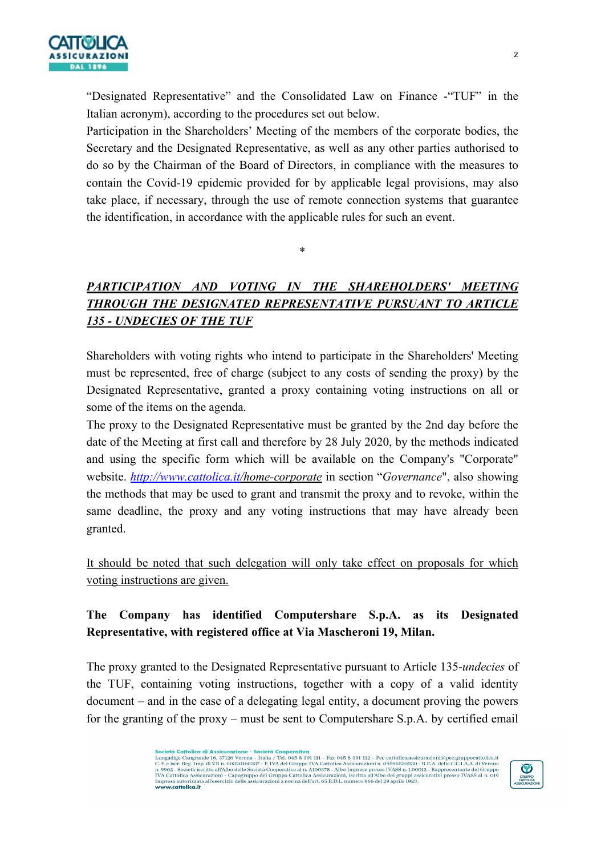

"Designated Representative" and the Consolidated Law on Finance -"TUF" in the Italian acronym), according to the procedures set out below.

Participation in the Shareholders' Meeting of the members of the corporate bodies, the Secretary and the Designated Representative, as well as any other parties authorised to do so by the Chairman of the Board of Directors, in compliance with the measures to contain the Covid-19 epidemic provided for by applicable legal provisions, may also take place, if necessary, through the use of remote connection systems that guarantee the identification, in accordance with the applicable rules for such an event.

\*

PARTICIPATION AND VOTING IN THE SHAREHOLDERS' MEETING THROUGH THE DESIGNATED REPRESENTATIVE PURSUANT TO ARTICLE 135 - UNDECIES OF THE TUF

Shareholders with voting rights who intend to participate in the Shareholders' Meeting must be represented, free of charge (subject to any costs of sending the proxy) by the Designated Representative, granted a proxy containing voting instructions on all or some of the items on the agenda.

The proxy to the Designated Representative must be granted by the 2nd day before the date of the Meeting at first call and therefore by 28 July 2020, by the methods indicated and using the specific form which will be available on the Company's "Corporate" website. http://www.cattolica.it/home-corporate in section "Governance", also showing the methods that may be used to grant and transmit the proxy and to revoke, within the same deadline, the proxy and any voting instructions that may have already been granted.

It should be noted that such delegation will only take effect on proposals for which voting instructions are given.

# The Company has identified Computershare S.p.A. as its Designated Representative, with registered office at Via Mascheroni 19, Milan.

The proxy granted to the Designated Representative pursuant to Article 135-undecies of the TUF, containing voting instructions, together with a copy of a valid identity document – and in the case of a delegating legal entity, a document proving the powers for the granting of the proxy – must be sent to Computershare S.p.A. by certified email

**Società Cattolica di Assicurazione - Società Cooperativa**<br>Lungadige Cangrande 16, 37126 Verona - Italia / Tel. 045 8 391 III - Fax 045 8 391 II2 - Pec cattolica.assicurazioni@pec.gruppocattolica.it<br>Lungadige Cangrande 16

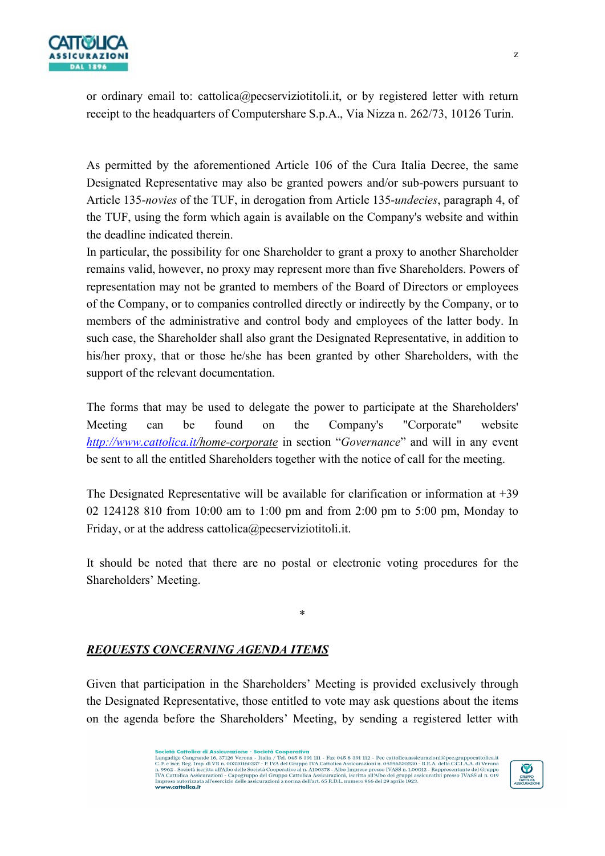

or ordinary email to: cattolica@pecserviziotitoli.it, or by registered letter with return receipt to the headquarters of Computershare S.p.A., Via Nizza n. 262/73, 10126 Turin.

As permitted by the aforementioned Article 106 of the Cura Italia Decree, the same Designated Representative may also be granted powers and/or sub-powers pursuant to Article 135-novies of the TUF, in derogation from Article 135-undecies, paragraph 4, of the TUF, using the form which again is available on the Company's website and within the deadline indicated therein.

In particular, the possibility for one Shareholder to grant a proxy to another Shareholder remains valid, however, no proxy may represent more than five Shareholders. Powers of representation may not be granted to members of the Board of Directors or employees of the Company, or to companies controlled directly or indirectly by the Company, or to members of the administrative and control body and employees of the latter body. In such case, the Shareholder shall also grant the Designated Representative, in addition to his/her proxy, that or those he/she has been granted by other Shareholders, with the support of the relevant documentation.

The forms that may be used to delegate the power to participate at the Shareholders' Meeting can be found on the Company's "Corporate" website http://www.cattolica.it/home-corporate in section "Governance" and will in any event be sent to all the entitled Shareholders together with the notice of call for the meeting.

The Designated Representative will be available for clarification or information at  $+39$ 02 124128 810 from 10:00 am to 1:00 pm and from 2:00 pm to 5:00 pm, Monday to Friday, or at the address cattolica@pecserviziotitoli.it.

It should be noted that there are no postal or electronic voting procedures for the Shareholders' Meeting.

\*

# REQUESTS CONCERNING AGENDA ITEMS

Given that participation in the Shareholders' Meeting is provided exclusively through the Designated Representative, those entitled to vote may ask questions about the items on the agenda before the Shareholders' Meeting, by sending a registered letter with

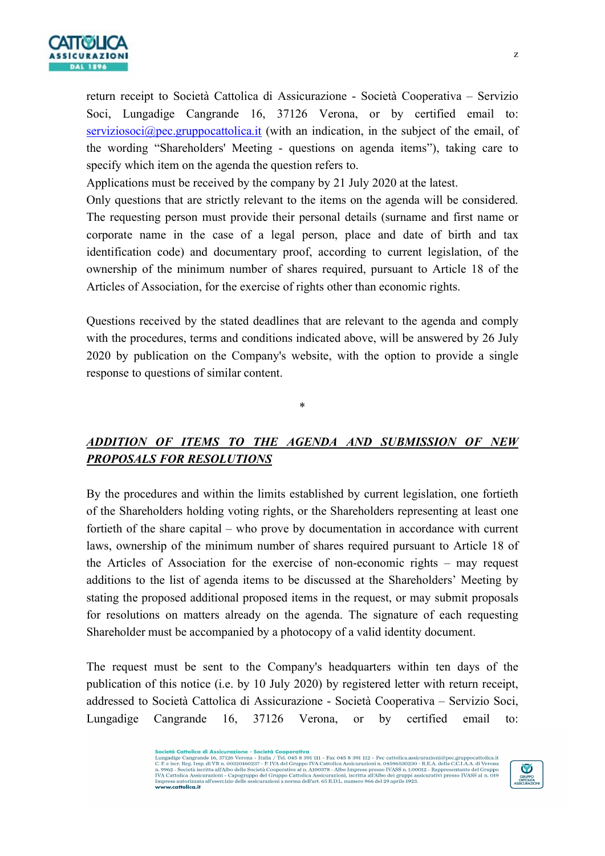

return receipt to Società Cattolica di Assicurazione - Società Cooperativa – Servizio Soci, Lungadige Cangrande 16, 37126 Verona, or by certified email to:  $s$ erviziosoci $@$ pec.gruppocattolica.it (with an indication, in the subject of the email, of the wording "Shareholders' Meeting - questions on agenda items"), taking care to specify which item on the agenda the question refers to.

Applications must be received by the company by 21 July 2020 at the latest.

Only questions that are strictly relevant to the items on the agenda will be considered. The requesting person must provide their personal details (surname and first name or corporate name in the case of a legal person, place and date of birth and tax identification code) and documentary proof, according to current legislation, of the ownership of the minimum number of shares required, pursuant to Article 18 of the Articles of Association, for the exercise of rights other than economic rights.

Questions received by the stated deadlines that are relevant to the agenda and comply with the procedures, terms and conditions indicated above, will be answered by 26 July 2020 by publication on the Company's website, with the option to provide a single response to questions of similar content.

# ADDITION OF ITEMS TO THE AGENDA AND SUBMISSION OF NEW PROPOSALS FOR RESOLUTIONS

\*

By the procedures and within the limits established by current legislation, one fortieth of the Shareholders holding voting rights, or the Shareholders representing at least one fortieth of the share capital – who prove by documentation in accordance with current laws, ownership of the minimum number of shares required pursuant to Article 18 of the Articles of Association for the exercise of non-economic rights – may request additions to the list of agenda items to be discussed at the Shareholders' Meeting by stating the proposed additional proposed items in the request, or may submit proposals for resolutions on matters already on the agenda. The signature of each requesting Shareholder must be accompanied by a photocopy of a valid identity document.

The request must be sent to the Company's headquarters within ten days of the publication of this notice (i.e. by 10 July 2020) by registered letter with return receipt, addressed to Società Cattolica di Assicurazione - Società Cooperativa – Servizio Soci, Lungadige Cangrande 16, 37126 Verona, or by certified email to:

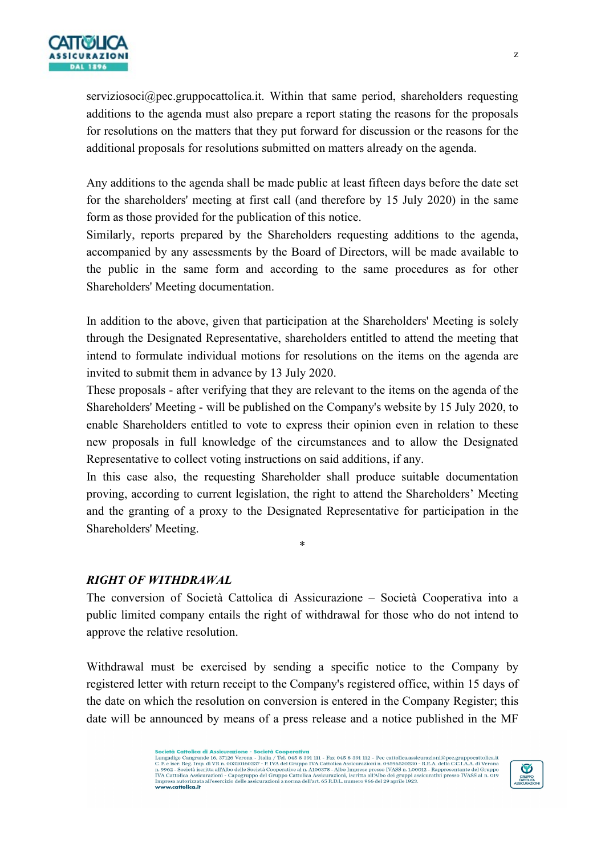

serviziosoci@pec.gruppocattolica.it. Within that same period, shareholders requesting additions to the agenda must also prepare a report stating the reasons for the proposals for resolutions on the matters that they put forward for discussion or the reasons for the additional proposals for resolutions submitted on matters already on the agenda.

Any additions to the agenda shall be made public at least fifteen days before the date set for the shareholders' meeting at first call (and therefore by 15 July 2020) in the same form as those provided for the publication of this notice.

Similarly, reports prepared by the Shareholders requesting additions to the agenda, accompanied by any assessments by the Board of Directors, will be made available to the public in the same form and according to the same procedures as for other Shareholders' Meeting documentation.

In addition to the above, given that participation at the Shareholders' Meeting is solely through the Designated Representative, shareholders entitled to attend the meeting that intend to formulate individual motions for resolutions on the items on the agenda are invited to submit them in advance by 13 July 2020.

These proposals - after verifying that they are relevant to the items on the agenda of the Shareholders' Meeting - will be published on the Company's website by 15 July 2020, to enable Shareholders entitled to vote to express their opinion even in relation to these new proposals in full knowledge of the circumstances and to allow the Designated Representative to collect voting instructions on said additions, if any.

In this case also, the requesting Shareholder shall produce suitable documentation proving, according to current legislation, the right to attend the Shareholders' Meeting and the granting of a proxy to the Designated Representative for participation in the Shareholders' Meeting.

\*

#### RIGHT OF WITHDRAWAL

The conversion of Società Cattolica di Assicurazione – Società Cooperativa into a public limited company entails the right of withdrawal for those who do not intend to approve the relative resolution.

Withdrawal must be exercised by sending a specific notice to the Company by registered letter with return receipt to the Company's registered office, within 15 days of the date on which the resolution on conversion is entered in the Company Register; this date will be announced by means of a press release and a notice published in the MF

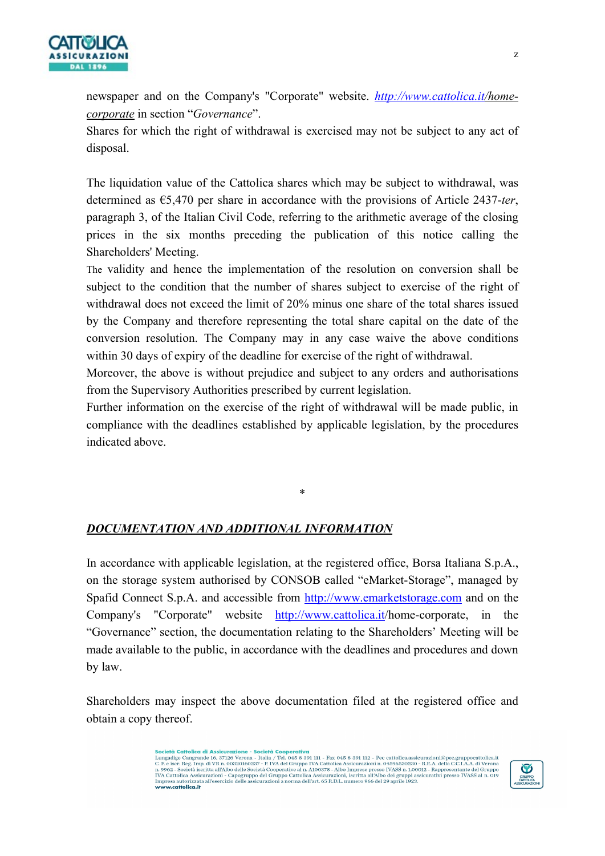

newspaper and on the Company's "Corporate" website. http://www.cattolica.it/homecorporate in section "Governance".

Shares for which the right of withdrawal is exercised may not be subject to any act of disposal.

The liquidation value of the Cattolica shares which may be subject to withdrawal, was determined as  $\epsilon$ 5,470 per share in accordance with the provisions of Article 2437-ter, paragraph 3, of the Italian Civil Code, referring to the arithmetic average of the closing prices in the six months preceding the publication of this notice calling the Shareholders' Meeting.

The validity and hence the implementation of the resolution on conversion shall be subject to the condition that the number of shares subject to exercise of the right of withdrawal does not exceed the limit of 20% minus one share of the total shares issued by the Company and therefore representing the total share capital on the date of the conversion resolution. The Company may in any case waive the above conditions within 30 days of expiry of the deadline for exercise of the right of withdrawal.

Moreover, the above is without prejudice and subject to any orders and authorisations from the Supervisory Authorities prescribed by current legislation.

Further information on the exercise of the right of withdrawal will be made public, in compliance with the deadlines established by applicable legislation, by the procedures indicated above.

\*

#### DOCUMENTATION AND ADDITIONAL INFORMATION

In accordance with applicable legislation, at the registered office, Borsa Italiana S.p.A., on the storage system authorised by CONSOB called "eMarket-Storage", managed by Spafid Connect S.p.A. and accessible from http://www.emarketstorage.com and on the Company's "Corporate" website http://www.cattolica.it/home-corporate, in the "Governance" section, the documentation relating to the Shareholders' Meeting will be made available to the public, in accordance with the deadlines and procedures and down by law.

Shareholders may inspect the above documentation filed at the registered office and obtain a copy thereof.

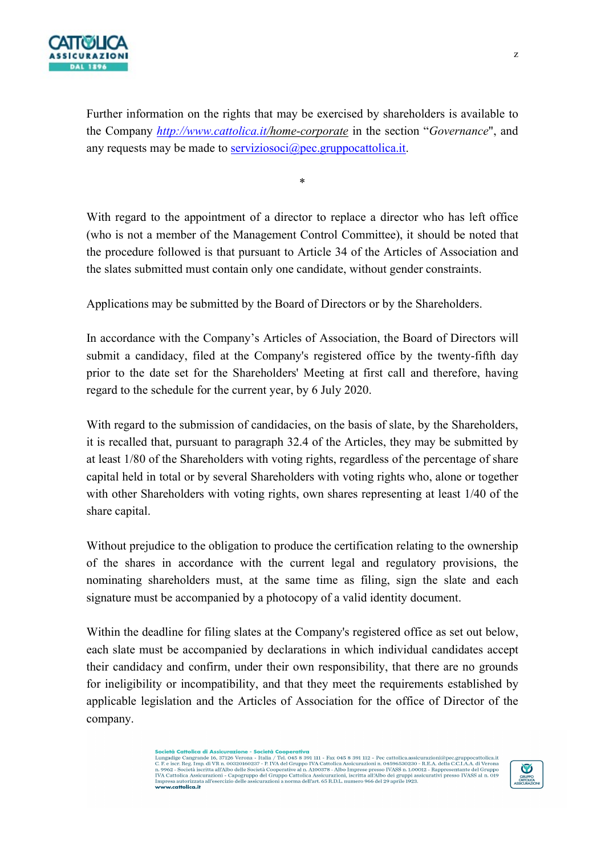

Further information on the rights that may be exercised by shareholders is available to the Company http://www.cattolica.it/home-corporate in the section "Governance", and any requests may be made to serviziosoci $@$ pec.gruppocattolica.it.

\*

With regard to the appointment of a director to replace a director who has left office (who is not a member of the Management Control Committee), it should be noted that the procedure followed is that pursuant to Article 34 of the Articles of Association and the slates submitted must contain only one candidate, without gender constraints.

Applications may be submitted by the Board of Directors or by the Shareholders.

In accordance with the Company's Articles of Association, the Board of Directors will submit a candidacy, filed at the Company's registered office by the twenty-fifth day prior to the date set for the Shareholders' Meeting at first call and therefore, having regard to the schedule for the current year, by 6 July 2020.

With regard to the submission of candidacies, on the basis of slate, by the Shareholders, it is recalled that, pursuant to paragraph 32.4 of the Articles, they may be submitted by at least 1/80 of the Shareholders with voting rights, regardless of the percentage of share capital held in total or by several Shareholders with voting rights who, alone or together with other Shareholders with voting rights, own shares representing at least 1/40 of the share capital.

Without prejudice to the obligation to produce the certification relating to the ownership of the shares in accordance with the current legal and regulatory provisions, the nominating shareholders must, at the same time as filing, sign the slate and each signature must be accompanied by a photocopy of a valid identity document.

Within the deadline for filing slates at the Company's registered office as set out below, each slate must be accompanied by declarations in which individual candidates accept their candidacy and confirm, under their own responsibility, that there are no grounds for ineligibility or incompatibility, and that they meet the requirements established by applicable legislation and the Articles of Association for the office of Director of the company.